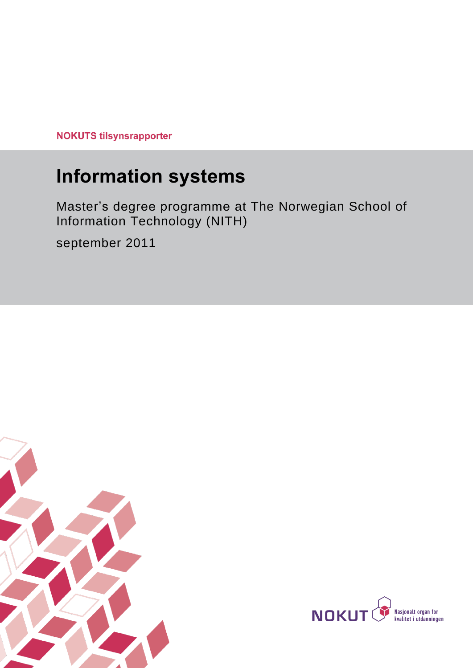**NOKUTS tilsynsrapporter** 

# **Information systems**

Master's degree programme at The Norwegian School of Information Technology (NITH)

september 2011



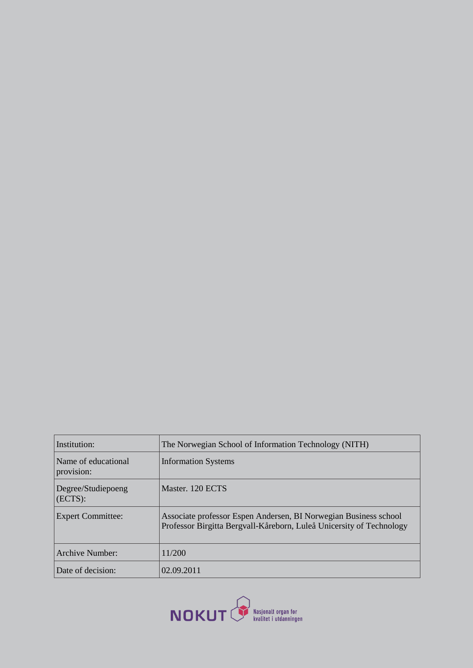| Institution:                      | The Norwegian School of Information Technology (NITH)                                                                                    |  |
|-----------------------------------|------------------------------------------------------------------------------------------------------------------------------------------|--|
| Name of educational<br>provision: | <b>Information Systems</b>                                                                                                               |  |
| Degree/Studiepoeng<br>(ECTS):     | Master, 120 ECTS                                                                                                                         |  |
| <b>Expert Committee:</b>          | Associate professor Espen Andersen, BI Norwegian Business school<br>Professor Birgitta Bergvall-Kåreborn, Luleå Unicersity of Technology |  |
| Archive Number:                   | 11/200                                                                                                                                   |  |
| Date of decision:                 | 02.09.2011                                                                                                                               |  |

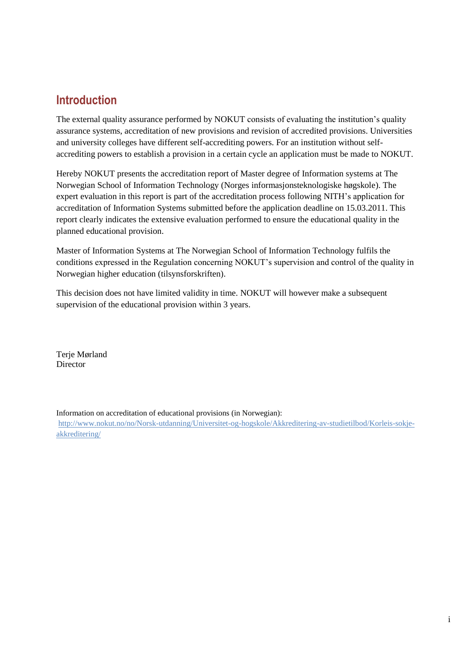## **Introduction**

The external quality assurance performed by NOKUT consists of evaluating the institution's quality assurance systems, accreditation of new provisions and revision of accredited provisions. Universities and university colleges have different self-accrediting powers. For an institution without selfaccrediting powers to establish a provision in a certain cycle an application must be made to NOKUT.

Hereby NOKUT presents the accreditation report of Master degree of Information systems at The Norwegian School of Information Technology (Norges informasjonsteknologiske høgskole). The expert evaluation in this report is part of the accreditation process following NITH's application for accreditation of Information Systems submitted before the application deadline on 15.03.2011. This report clearly indicates the extensive evaluation performed to ensure the educational quality in the planned educational provision.

Master of Information Systems at The Norwegian School of Information Technology fulfils the conditions expressed in the Regulation concerning NOKUT's supervision and control of the quality in Norwegian higher education (tilsynsforskriften).

This decision does not have limited validity in time. NOKUT will however make a subsequent supervision of the educational provision within 3 years.

Terje Mørland Director

Information on accreditation of educational provisions (in Norwegian):

[http://www.nokut.no/no/Norsk-utdanning/Universitet-og-hogskole/Akkreditering-av-studietilbod/Korleis-sokje](http://www.nokut.no/no/Norsk-utdanning/Universitet-og-hogskole/Akkreditering-av-studietilbod/Korleis-sokje-akkreditering/)[akkreditering/](http://www.nokut.no/no/Norsk-utdanning/Universitet-og-hogskole/Akkreditering-av-studietilbod/Korleis-sokje-akkreditering/)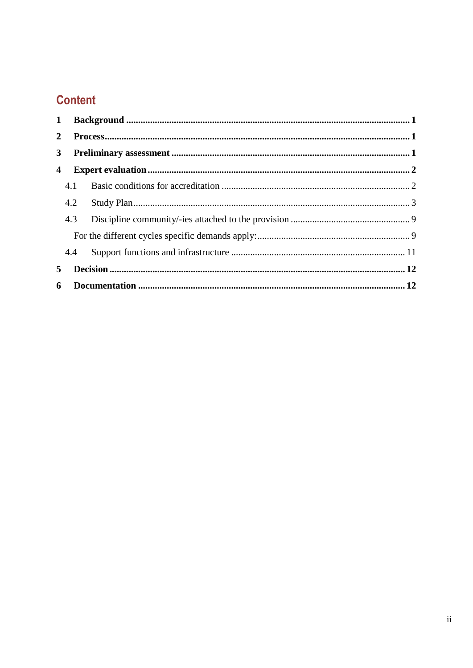## **Content**

| $\mathbf{1}$ |     |  |  |  |
|--------------|-----|--|--|--|
| $\mathbf{2}$ |     |  |  |  |
| $3^{\circ}$  |     |  |  |  |
| 4            |     |  |  |  |
|              | 4.1 |  |  |  |
|              | 4.2 |  |  |  |
|              | 4.3 |  |  |  |
|              |     |  |  |  |
|              | 4.4 |  |  |  |
| 5.           |     |  |  |  |
| 6            |     |  |  |  |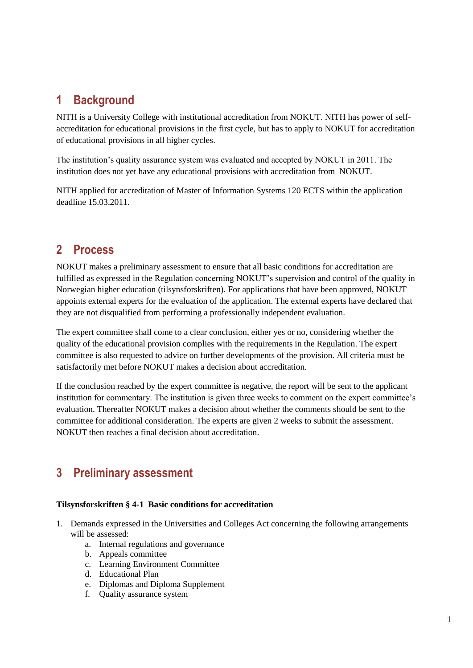## <span id="page-4-0"></span>**1 Background**

NITH is a University College with institutional accreditation from NOKUT. NITH has power of selfaccreditation for educational provisions in the first cycle, but has to apply to NOKUT for accreditation of educational provisions in all higher cycles.

The institution's quality assurance system was evaluated and accepted by NOKUT in 2011. The institution does not yet have any educational provisions with accreditation from NOKUT.

NITH applied for accreditation of Master of Information Systems 120 ECTS within the application deadline 15.03.2011.

## <span id="page-4-1"></span>**2 Process**

NOKUT makes a preliminary assessment to ensure that all basic conditions for accreditation are fulfilled as expressed in the Regulation concerning NOKUT's supervision and control of the quality in Norwegian higher education (tilsynsforskriften). For applications that have been approved, NOKUT appoints external experts for the evaluation of the application. The external experts have declared that they are not disqualified from performing a professionally independent evaluation.

The expert committee shall come to a clear conclusion, either yes or no, considering whether the quality of the educational provision complies with the requirements in the Regulation. The expert committee is also requested to advice on further developments of the provision. All criteria must be satisfactorily met before NOKUT makes a decision about accreditation.

If the conclusion reached by the expert committee is negative, the report will be sent to the applicant institution for commentary. The institution is given three weeks to comment on the expert committee's evaluation. Thereafter NOKUT makes a decision about whether the comments should be sent to the committee for additional consideration. The experts are given 2 weeks to submit the assessment. NOKUT then reaches a final decision about accreditation.

## <span id="page-4-2"></span>**3 Preliminary assessment**

## **Tilsynsforskriften § 4-1 Basic conditions for accreditation**

- 1. Demands expressed in the Universities and Colleges Act concerning the following arrangements will be assessed:
	- a. Internal regulations and governance
	- b. Appeals committee
	- c. Learning Environment Committee
	- d. Educational Plan
	- e. Diplomas and Diploma Supplement
	- f. Quality assurance system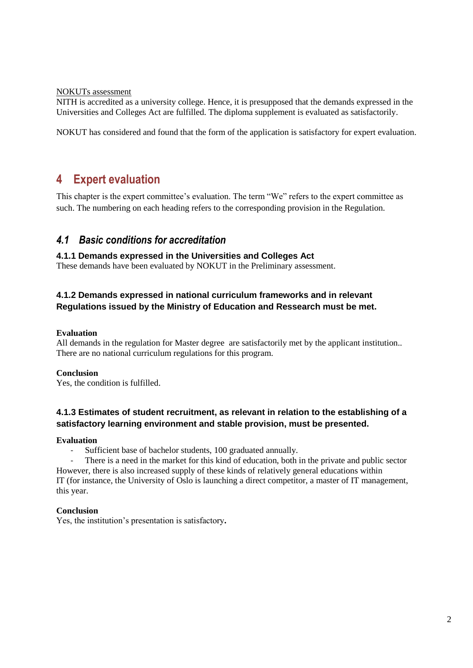#### NOKUTs assessment

NITH is accredited as a university college. Hence, it is presupposed that the demands expressed in the Universities and Colleges Act are fulfilled. The diploma supplement is evaluated as satisfactorily.

<span id="page-5-0"></span>NOKUT has considered and found that the form of the application is satisfactory for expert evaluation.

## **4 Expert evaluation**

This chapter is the expert committee's evaluation. The term "We" refers to the expert committee as such. The numbering on each heading refers to the corresponding provision in the Regulation.

## <span id="page-5-1"></span>*4.1 Basic conditions for accreditation*

#### **4.1.1 Demands expressed in the Universities and Colleges Act**

These demands have been evaluated by NOKUT in the Preliminary assessment.

## **4.1.2 Demands expressed in national curriculum frameworks and in relevant Regulations issued by the Ministry of Education and Ressearch must be met.**

#### **Evaluation**

All demands in the regulation for Master degree are satisfactorily met by the applicant institution.. There are no national curriculum regulations for this program.

#### **Conclusion**

Yes, the condition is fulfilled.

## **4.1.3 Estimates of student recruitment, as relevant in relation to the establishing of a satisfactory learning environment and stable provision, must be presented.**

#### **Evaluation**

Sufficient base of bachelor students, 100 graduated annually.

- There is a need in the market for this kind of education, both in the private and public sector However, there is also increased supply of these kinds of relatively general educations within IT (for instance, the University of Oslo is launching a direct competitor, a master of IT management, this year.

#### **Conclusion**

Yes, the institution's presentation is satisfactory**.**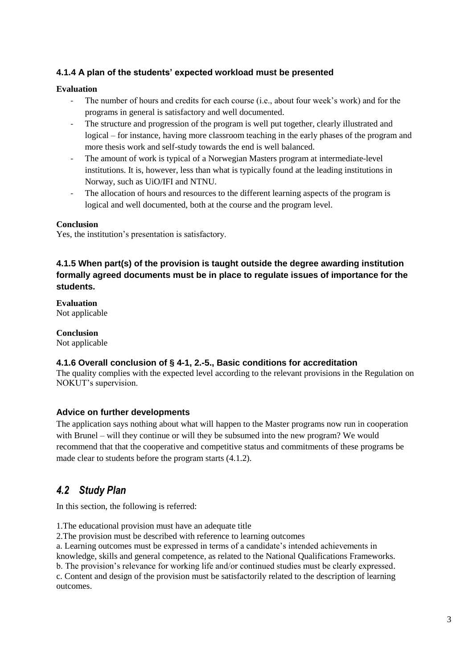## **4.1.4 A plan of the students' expected workload must be presented**

## **Evaluation**

- The number of hours and credits for each course (i.e., about four week's work) and for the programs in general is satisfactory and well documented.
- The structure and progression of the program is well put together, clearly illustrated and logical – for instance, having more classroom teaching in the early phases of the program and more thesis work and self-study towards the end is well balanced.
- The amount of work is typical of a Norwegian Masters program at intermediate-level institutions. It is, however, less than what is typically found at the leading institutions in Norway, such as UiO/IFI and NTNU.
- The allocation of hours and resources to the different learning aspects of the program is logical and well documented, both at the course and the program level.

#### **Conclusion**

Yes, the institution's presentation is satisfactory.

## **4.1.5 When part(s) of the provision is taught outside the degree awarding institution formally agreed documents must be in place to regulate issues of importance for the students.**

**Evaluation** Not applicable

**Conclusion** Not applicable

## **4.1.6 Overall conclusion of § 4-1, 2.-5., Basic conditions for accreditation**

The quality complies with the expected level according to the relevant provisions in the Regulation on NOKUT's supervision.

## **Advice on further developments**

The application says nothing about what will happen to the Master programs now run in cooperation with Brunel – will they continue or will they be subsumed into the new program? We would recommend that that the cooperative and competitive status and commitments of these programs be made clear to students before the program starts (4.1.2).

## <span id="page-6-0"></span>*4.2 Study Plan*

In this section, the following is referred:

1.The educational provision must have an adequate title

2.The provision must be described with reference to learning outcomes

a. Learning outcomes must be expressed in terms of a candidate's intended achievements in

knowledge, skills and general competence, as related to the National Qualifications Frameworks.

b. The provision's relevance for working life and/or continued studies must be clearly expressed. c. Content and design of the provision must be satisfactorily related to the description of learning outcomes.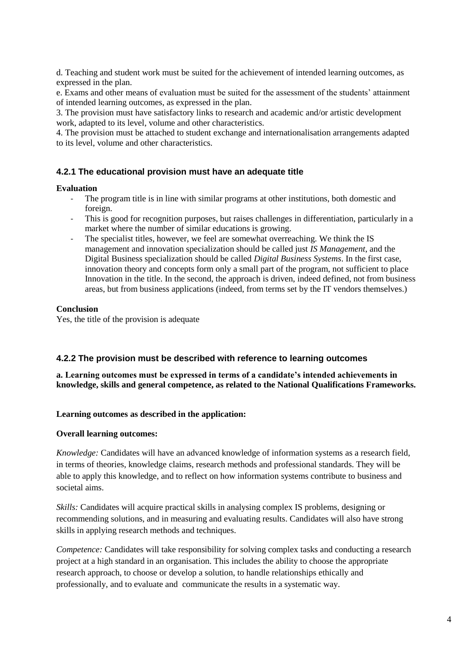d. Teaching and student work must be suited for the achievement of intended learning outcomes, as expressed in the plan.

e. Exams and other means of evaluation must be suited for the assessment of the students' attainment of intended learning outcomes, as expressed in the plan.

3. The provision must have satisfactory links to research and academic and/or artistic development work, adapted to its level, volume and other characteristics.

4. The provision must be attached to student exchange and internationalisation arrangements adapted to its level, volume and other characteristics.

## **4.2.1 The educational provision must have an adequate title**

#### **Evaluation**

- The program title is in line with similar programs at other institutions, both domestic and foreign.
- This is good for recognition purposes, but raises challenges in differentiation, particularly in a market where the number of similar educations is growing.
- The specialist titles, however, we feel are somewhat overreaching. We think the IS management and innovation specialization should be called just *IS Management*, and the Digital Business specialization should be called *Digital Business Systems*. In the first case, innovation theory and concepts form only a small part of the program, not sufficient to place Innovation in the title. In the second, the approach is driven, indeed defined, not from business areas, but from business applications (indeed, from terms set by the IT vendors themselves.)

#### **Conclusion**

Yes, the title of the provision is adequate

#### **4.2.2 The provision must be described with reference to learning outcomes**

**a. Learning outcomes must be expressed in terms of a candidate's intended achievements in knowledge, skills and general competence, as related to the National Qualifications Frameworks.**

#### **Learning outcomes as described in the application:**

#### **Overall learning outcomes:**

*Knowledge:* Candidates will have an advanced knowledge of information systems as a research field, in terms of theories, knowledge claims, research methods and professional standards. They will be able to apply this knowledge, and to reflect on how information systems contribute to business and societal aims.

*Skills:* Candidates will acquire practical skills in analysing complex IS problems, designing or recommending solutions, and in measuring and evaluating results. Candidates will also have strong skills in applying research methods and techniques.

*Competence:* Candidates will take responsibility for solving complex tasks and conducting a research project at a high standard in an organisation. This includes the ability to choose the appropriate research approach, to choose or develop a solution, to handle relationships ethically and professionally, and to evaluate and communicate the results in a systematic way.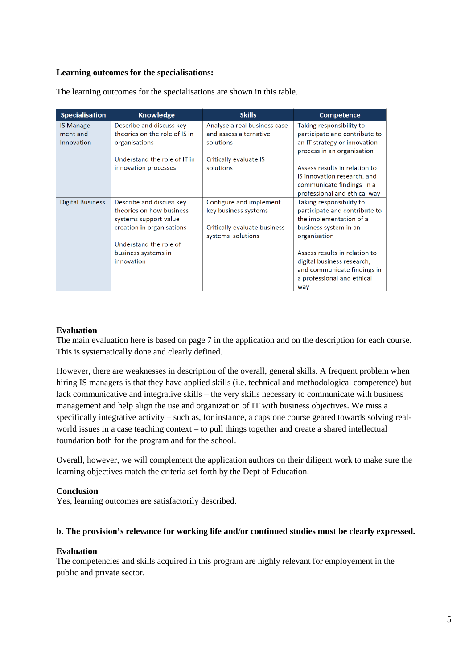#### **Learning outcomes for the specialisations:**

| <b>Specialisation</b>                | <b>Knowledge</b>                                                           | <b>Skills</b>                                                       | <b>Competence</b>                                                                                                         |
|--------------------------------------|----------------------------------------------------------------------------|---------------------------------------------------------------------|---------------------------------------------------------------------------------------------------------------------------|
| IS Manage-<br>ment and<br>Innovation | Describe and discuss key<br>theories on the role of IS in<br>organisations | Analyse a real business case<br>and assess alternative<br>solutions | Taking responsibility to<br>participate and contribute to<br>an IT strategy or innovation<br>process in an organisation   |
|                                      | Understand the role of IT in                                               | Critically evaluate IS                                              |                                                                                                                           |
|                                      | innovation processes                                                       | solutions                                                           | Assess results in relation to<br>IS innovation research, and<br>communicate findings in a<br>professional and ethical way |
| <b>Digital Business</b>              | Describe and discuss key                                                   | Configure and implement                                             | Taking responsibility to                                                                                                  |
|                                      | theories on how business<br>systems support value                          | key business systems                                                | participate and contribute to<br>the implementation of a                                                                  |
|                                      | creation in organisations                                                  | Critically evaluate business<br>systems solutions                   | business system in an<br>organisation                                                                                     |
|                                      | Understand the role of                                                     |                                                                     |                                                                                                                           |
|                                      | business systems in                                                        |                                                                     | Assess results in relation to                                                                                             |
|                                      | innovation                                                                 |                                                                     | digital business research,<br>and communicate findings in<br>a professional and ethical<br>way                            |

The learning outcomes for the specialisations are shown in this table.

#### **Evaluation**

The main evaluation here is based on page 7 in the application and on the description for each course. This is systematically done and clearly defined.

However, there are weaknesses in description of the overall, general skills. A frequent problem when hiring IS managers is that they have applied skills (i.e. technical and methodological competence) but lack communicative and integrative skills – the very skills necessary to communicate with business management and help align the use and organization of IT with business objectives. We miss a specifically integrative activity – such as, for instance, a capstone course geared towards solving realworld issues in a case teaching context – to pull things together and create a shared intellectual foundation both for the program and for the school.

Overall, however, we will complement the application authors on their diligent work to make sure the learning objectives match the criteria set forth by the Dept of Education.

#### **Conclusion**

Yes, learning outcomes are satisfactorily described.

#### **b. The provision's relevance for working life and/or continued studies must be clearly expressed.**

#### **Evaluation**

The competencies and skills acquired in this program are highly relevant for employement in the public and private sector.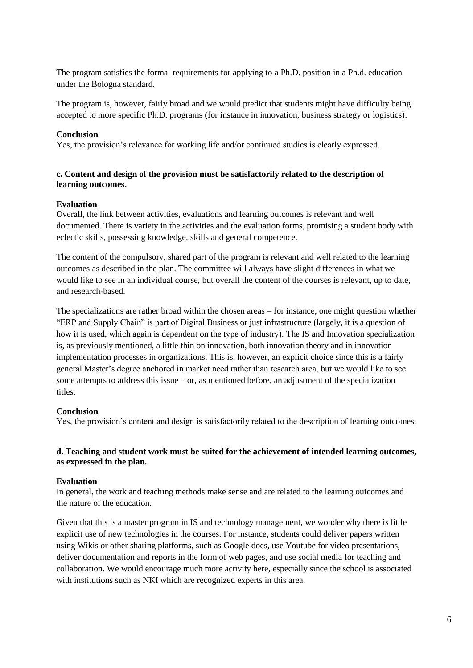The program satisfies the formal requirements for applying to a Ph.D. position in a Ph.d. education under the Bologna standard.

The program is, however, fairly broad and we would predict that students might have difficulty being accepted to more specific Ph.D. programs (for instance in innovation, business strategy or logistics).

#### **Conclusion**

Yes, the provision's relevance for working life and/or continued studies is clearly expressed.

## **c. Content and design of the provision must be satisfactorily related to the description of learning outcomes.**

#### **Evaluation**

Overall, the link between activities, evaluations and learning outcomes is relevant and well documented. There is variety in the activities and the evaluation forms, promising a student body with eclectic skills, possessing knowledge, skills and general competence.

The content of the compulsory, shared part of the program is relevant and well related to the learning outcomes as described in the plan. The committee will always have slight differences in what we would like to see in an individual course, but overall the content of the courses is relevant, up to date, and research-based.

The specializations are rather broad within the chosen areas – for instance, one might question whether "ERP and Supply Chain" is part of Digital Business or just infrastructure (largely, it is a question of how it is used, which again is dependent on the type of industry). The IS and Innovation specialization is, as previously mentioned, a little thin on innovation, both innovation theory and in innovation implementation processes in organizations. This is, however, an explicit choice since this is a fairly general Master's degree anchored in market need rather than research area, but we would like to see some attempts to address this issue  $-$  or, as mentioned before, an adjustment of the specialization titles.

## **Conclusion**

Yes, the provision's content and design is satisfactorily related to the description of learning outcomes.

#### **d. Teaching and student work must be suited for the achievement of intended learning outcomes, as expressed in the plan.**

## **Evaluation**

In general, the work and teaching methods make sense and are related to the learning outcomes and the nature of the education.

Given that this is a master program in IS and technology management, we wonder why there is little explicit use of new technologies in the courses. For instance, students could deliver papers written using Wikis or other sharing platforms, such as Google docs, use Youtube for video presentations, deliver documentation and reports in the form of web pages, and use social media for teaching and collaboration. We would encourage much more activity here, especially since the school is associated with institutions such as NKI which are recognized experts in this area.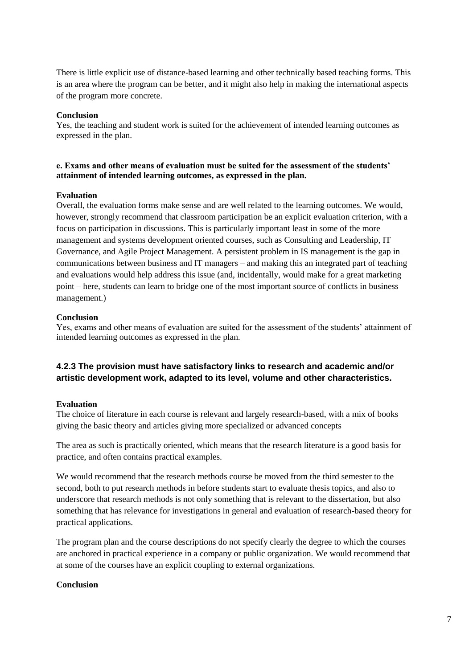There is little explicit use of distance-based learning and other technically based teaching forms. This is an area where the program can be better, and it might also help in making the international aspects of the program more concrete.

#### **Conclusion**

Yes, the teaching and student work is suited for the achievement of intended learning outcomes as expressed in the plan.

#### **e. Exams and other means of evaluation must be suited for the assessment of the students' attainment of intended learning outcomes, as expressed in the plan.**

#### **Evaluation**

Overall, the evaluation forms make sense and are well related to the learning outcomes. We would, however, strongly recommend that classroom participation be an explicit evaluation criterion, with a focus on participation in discussions. This is particularly important least in some of the more management and systems development oriented courses, such as Consulting and Leadership, IT Governance, and Agile Project Management. A persistent problem in IS management is the gap in communications between business and IT managers – and making this an integrated part of teaching and evaluations would help address this issue (and, incidentally, would make for a great marketing point – here, students can learn to bridge one of the most important source of conflicts in business management.)

#### **Conclusion**

Yes, exams and other means of evaluation are suited for the assessment of the students' attainment of intended learning outcomes as expressed in the plan.

## **4.2.3 The provision must have satisfactory links to research and academic and/or artistic development work, adapted to its level, volume and other characteristics.**

#### **Evaluation**

The choice of literature in each course is relevant and largely research-based, with a mix of books giving the basic theory and articles giving more specialized or advanced concepts

The area as such is practically oriented, which means that the research literature is a good basis for practice, and often contains practical examples.

We would recommend that the research methods course be moved from the third semester to the second, both to put research methods in before students start to evaluate thesis topics, and also to underscore that research methods is not only something that is relevant to the dissertation, but also something that has relevance for investigations in general and evaluation of research-based theory for practical applications.

The program plan and the course descriptions do not specify clearly the degree to which the courses are anchored in practical experience in a company or public organization. We would recommend that at some of the courses have an explicit coupling to external organizations.

#### **Conclusion**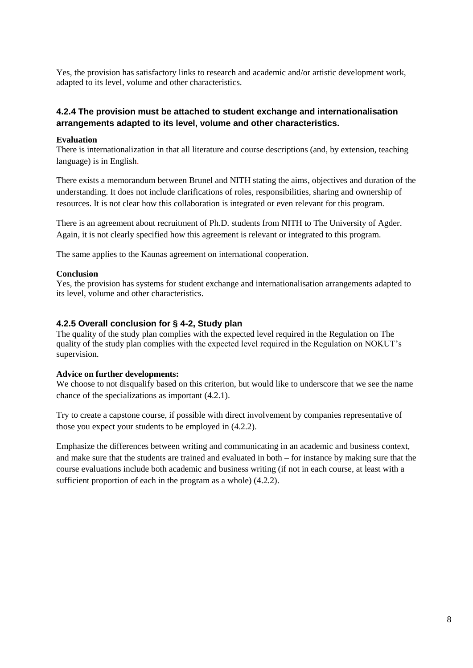Yes, the provision has satisfactory links to research and academic and/or artistic development work, adapted to its level, volume and other characteristics.

## **4.2.4 The provision must be attached to student exchange and internationalisation arrangements adapted to its level, volume and other characteristics.**

#### **Evaluation**

There is internationalization in that all literature and course descriptions (and, by extension, teaching language) is in English.

There exists a memorandum between Brunel and NITH stating the aims, objectives and duration of the understanding. It does not include clarifications of roles, responsibilities, sharing and ownership of resources. It is not clear how this collaboration is integrated or even relevant for this program.

There is an agreement about recruitment of Ph.D. students from NITH to The University of Agder. Again, it is not clearly specified how this agreement is relevant or integrated to this program.

The same applies to the Kaunas agreement on international cooperation.

#### **Conclusion**

Yes, the provision has systems for student exchange and internationalisation arrangements adapted to its level, volume and other characteristics.

#### **4.2.5 Overall conclusion for § 4-2, Study plan**

The quality of the study plan complies with the expected level required in the Regulation on The quality of the study plan complies with the expected level required in the Regulation on NOKUT's supervision.

#### **Advice on further developments:**

We choose to not disqualify based on this criterion, but would like to underscore that we see the name chance of the specializations as important (4.2.1).

Try to create a capstone course, if possible with direct involvement by companies representative of those you expect your students to be employed in (4.2.2).

Emphasize the differences between writing and communicating in an academic and business context, and make sure that the students are trained and evaluated in both – for instance by making sure that the course evaluations include both academic and business writing (if not in each course, at least with a sufficient proportion of each in the program as a whole) (4.2.2).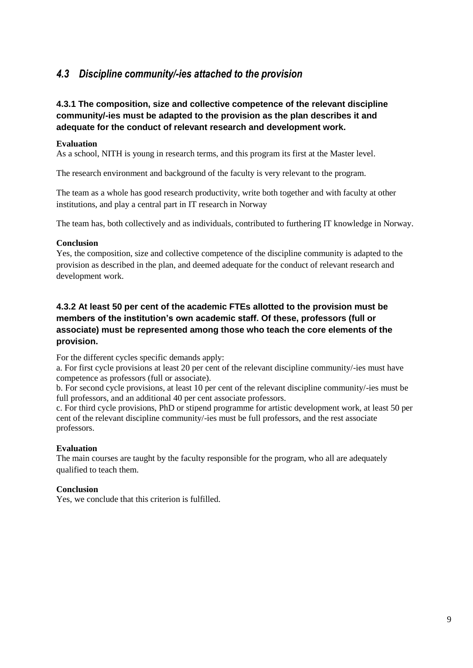## <span id="page-12-0"></span>*4.3 Discipline community/-ies attached to the provision*

## **4.3.1 The composition, size and collective competence of the relevant discipline community/-ies must be adapted to the provision as the plan describes it and adequate for the conduct of relevant research and development work.**

#### **Evaluation**

As a school, NITH is young in research terms, and this program its first at the Master level.

The research environment and background of the faculty is very relevant to the program.

The team as a whole has good research productivity, write both together and with faculty at other institutions, and play a central part in IT research in Norway

The team has, both collectively and as individuals, contributed to furthering IT knowledge in Norway.

## **Conclusion**

Yes, the composition, size and collective competence of the discipline community is adapted to the provision as described in the plan, and deemed adequate for the conduct of relevant research and development work.

## **4.3.2 At least 50 per cent of the academic FTEs allotted to the provision must be members of the institution's own academic staff. Of these, professors (full or associate) must be represented among those who teach the core elements of the provision.**

<span id="page-12-1"></span>For the different cycles specific demands apply:

a. For first cycle provisions at least 20 per cent of the relevant discipline community/-ies must have competence as professors (full or associate).

b. For second cycle provisions, at least 10 per cent of the relevant discipline community/-ies must be full professors, and an additional 40 per cent associate professors.

c. For third cycle provisions, PhD or stipend programme for artistic development work, at least 50 per cent of the relevant discipline community/-ies must be full professors, and the rest associate professors.

## **Evaluation**

The main courses are taught by the faculty responsible for the program, who all are adequately qualified to teach them.

## **Conclusion**

Yes, we conclude that this criterion is fulfilled.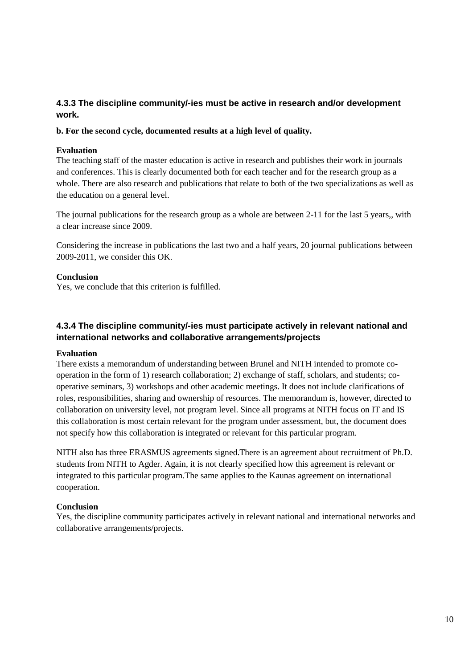## **4.3.3 The discipline community/-ies must be active in research and/or development work.**

#### **b. For the second cycle, documented results at a high level of quality.**

#### **Evaluation**

The teaching staff of the master education is active in research and publishes their work in journals and conferences. This is clearly documented both for each teacher and for the research group as a whole. There are also research and publications that relate to both of the two specializations as well as the education on a general level.

The journal publications for the research group as a whole are between 2-11 for the last 5 years,, with a clear increase since 2009.

Considering the increase in publications the last two and a half years, 20 journal publications between 2009-2011, we consider this OK.

#### **Conclusion**

Yes, we conclude that this criterion is fulfilled.

## **4.3.4 The discipline community/-ies must participate actively in relevant national and international networks and collaborative arrangements/projects**

## **Evaluation**

There exists a memorandum of understanding between Brunel and NITH intended to promote cooperation in the form of 1) research collaboration; 2) exchange of staff, scholars, and students; cooperative seminars, 3) workshops and other academic meetings. It does not include clarifications of roles, responsibilities, sharing and ownership of resources. The memorandum is, however, directed to collaboration on university level, not program level. Since all programs at NITH focus on IT and IS this collaboration is most certain relevant for the program under assessment, but, the document does not specify how this collaboration is integrated or relevant for this particular program.

NITH also has three ERASMUS agreements signed.There is an agreement about recruitment of Ph.D. students from NITH to Agder. Again, it is not clearly specified how this agreement is relevant or integrated to this particular program.The same applies to the Kaunas agreement on international cooperation.

## **Conclusion**

Yes, the discipline community participates actively in relevant national and international networks and collaborative arrangements/projects.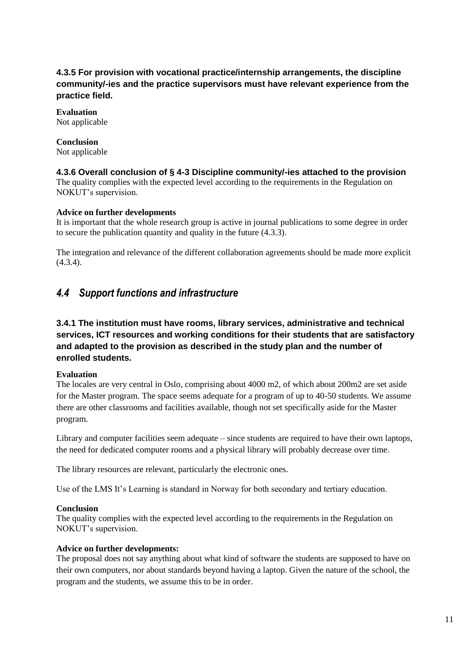## **4.3.5 For provision with vocational practice/internship arrangements, the discipline community/-ies and the practice supervisors must have relevant experience from the practice field.**

## **Evaluation**

Not applicable

## **Conclusion**

Not applicable

## **4.3.6 Overall conclusion of § 4-3 Discipline community/-ies attached to the provision**

The quality complies with the expected level according to the requirements in the Regulation on NOKUT's supervision.

## **Advice on further developments**

It is important that the whole research group is active in journal publications to some degree in order to secure the publication quantity and quality in the future (4.3.3).

The integration and relevance of the different collaboration agreements should be made more explicit (4.3.4).

## <span id="page-14-0"></span>*4.4 Support functions and infrastructure*

## **3.4.1 The institution must have rooms, library services, administrative and technical services, ICT resources and working conditions for their students that are satisfactory and adapted to the provision as described in the study plan and the number of enrolled students.**

## **Evaluation**

The locales are very central in Oslo, comprising about 4000 m2, of which about 200m2 are set aside for the Master program. The space seems adequate for a program of up to 40-50 students. We assume there are other classrooms and facilities available, though not set specifically aside for the Master program.

Library and computer facilities seem adequate – since students are required to have their own laptops, the need for dedicated computer rooms and a physical library will probably decrease over time.

The library resources are relevant, particularly the electronic ones.

Use of the LMS It's Learning is standard in Norway for both secondary and tertiary education.

## **Conclusion**

The quality complies with the expected level according to the requirements in the Regulation on NOKUT's supervision.

## **Advice on further developments:**

The proposal does not say anything about what kind of software the students are supposed to have on their own computers, nor about standards beyond having a laptop. Given the nature of the school, the program and the students, we assume this to be in order.